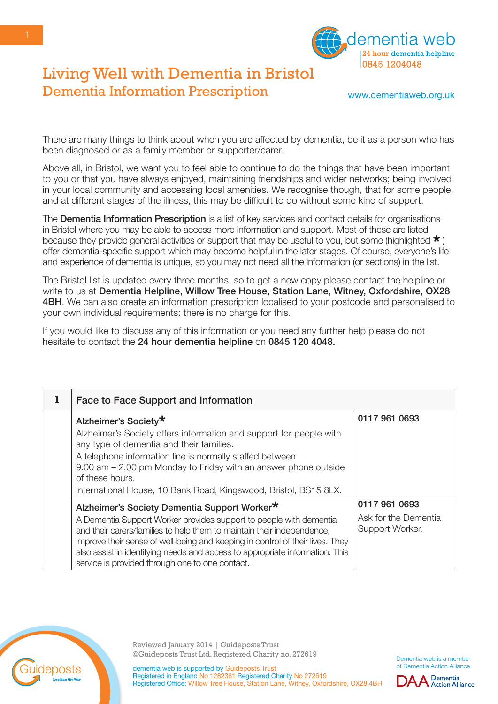

www.dementiaweb.org.uk

There are many things to think about when you are affected by dementia, be it as a person who has been diagnosed or as a family member or supporter/carer.

Above all, in Bristol, we want you to feel able to continue to do the things that have been important to you or that you have always enjoyed, maintaining friendships and wider networks; being involved in your local community and accessing local amenities. We recognise though, that for some people, and at different stages of the illness, this may be difficult to do without some kind of support.

The **Dementia Information Prescription** is a list of key services and contact details for organisations in Bristol where you may be able to access more information and support. Most of these are listed because they provide general activities or support that may be useful to you, but some (highlighted  $\star$ ) offer dementia-specific support which may become helpful in the later stages. Of course, everyone's life and experience of dementia is unique, so you may not need all the information (or sections) in the list.

The Bristol list is updated every three months, so to get a new copy please contact the helpline or write to us at Dementia Helpline, Willow Tree House, Station Lane, Witney, Oxfordshire, OX28 **4BH.** We can also create an information prescription localised to your postcode and personalised to your own individual requirements: there is no charge for this.

If you would like to discuss any of this information or you need any further help please do not hesitate to contact the 24 hour dementia helpline on 0845 120 4048.

| <b>Face to Face Support and Information</b>                                                                                                                                                                                                                                                                                                                                                                      |                                                          |
|------------------------------------------------------------------------------------------------------------------------------------------------------------------------------------------------------------------------------------------------------------------------------------------------------------------------------------------------------------------------------------------------------------------|----------------------------------------------------------|
| Alzheimer's Society*<br>Alzheimer's Society offers information and support for people with<br>any type of dementia and their families.<br>A telephone information line is normally staffed between<br>9.00 am – 2.00 pm Monday to Friday with an answer phone outside<br>of these hours.<br>International House, 10 Bank Road, Kingswood, Bristol, BS15 8LX.                                                     | 0117 961 0693                                            |
| Alzheimer's Society Dementia Support Worker*<br>A Dementia Support Worker provides support to people with dementia<br>and their carers/families to help them to maintain their independence,<br>improve their sense of well-being and keeping in control of their lives. They<br>also assist in identifying needs and access to appropriate information. This<br>service is provided through one to one contact. | 0117 961 0693<br>Ask for the Dementia<br>Support Worker. |



Reviewed January 2014 | Guideposts Trust ©Guideposts Trust Ltd. Registered Charity no. 272619

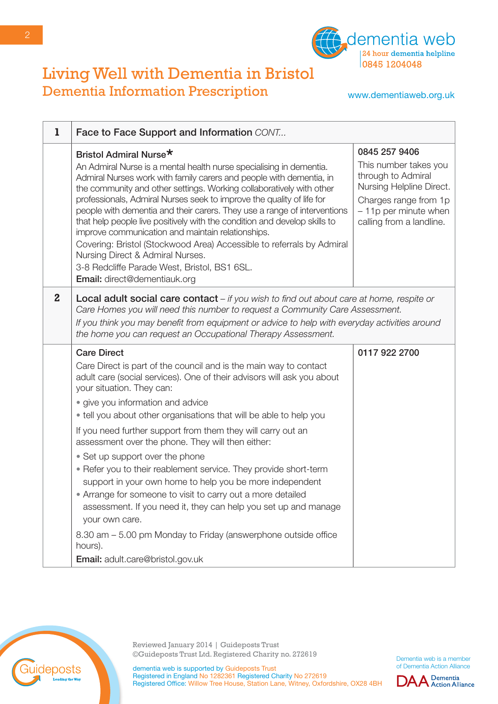

www.dementiaweb.org.uk

| 1            | Face to Face Support and Information CONT                                                                                                                                                                                                                                                                                                                                                                                                                                                                                                                                                                                                                                                                                        |                                                                                                                                                                         |
|--------------|----------------------------------------------------------------------------------------------------------------------------------------------------------------------------------------------------------------------------------------------------------------------------------------------------------------------------------------------------------------------------------------------------------------------------------------------------------------------------------------------------------------------------------------------------------------------------------------------------------------------------------------------------------------------------------------------------------------------------------|-------------------------------------------------------------------------------------------------------------------------------------------------------------------------|
|              | Bristol Admiral Nurse*<br>An Admiral Nurse is a mental health nurse specialising in dementia.<br>Admiral Nurses work with family carers and people with dementia, in<br>the community and other settings. Working collaboratively with other<br>professionals, Admiral Nurses seek to improve the quality of life for<br>people with dementia and their carers. They use a range of interventions<br>that help people live positively with the condition and develop skills to<br>improve communication and maintain relationships.<br>Covering: Bristol (Stockwood Area) Accessible to referrals by Admiral<br>Nursing Direct & Admiral Nurses.<br>3-8 Redcliffe Parade West, Bristol, BS1 6SL.<br>Email: direct@dementiauk.org | 0845 257 9406<br>This number takes you<br>through to Admiral<br>Nursing Helpline Direct.<br>Charges range from 1p<br>$-11p$ per minute when<br>calling from a landline. |
| $\mathbf{2}$ | <b>Local adult social care contact</b> $-$ if you wish to find out about care at home, respite or<br>Care Homes you will need this number to request a Community Care Assessment.<br>If you think you may benefit from equipment or advice to help with everyday activities around<br>the home you can request an Occupational Therapy Assessment.                                                                                                                                                                                                                                                                                                                                                                               |                                                                                                                                                                         |
|              | <b>Care Direct</b><br>Care Direct is part of the council and is the main way to contact<br>adult care (social services). One of their advisors will ask you about<br>your situation. They can:                                                                                                                                                                                                                                                                                                                                                                                                                                                                                                                                   | 0117 922 2700                                                                                                                                                           |
|              | • give you information and advice<br>• tell you about other organisations that will be able to help you                                                                                                                                                                                                                                                                                                                                                                                                                                                                                                                                                                                                                          |                                                                                                                                                                         |
|              | If you need further support from them they will carry out an<br>assessment over the phone. They will then either:                                                                                                                                                                                                                                                                                                                                                                                                                                                                                                                                                                                                                |                                                                                                                                                                         |
|              | • Set up support over the phone<br>• Refer you to their reablement service. They provide short-term<br>support in your own home to help you be more independent<br>• Arrange for someone to visit to carry out a more detailed<br>assessment. If you need it, they can help you set up and manage<br>your own care.                                                                                                                                                                                                                                                                                                                                                                                                              |                                                                                                                                                                         |
|              | 8.30 am – 5.00 pm Monday to Friday (answerphone outside office<br>hours).                                                                                                                                                                                                                                                                                                                                                                                                                                                                                                                                                                                                                                                        |                                                                                                                                                                         |
|              | Email: adult.care@bristol.gov.uk                                                                                                                                                                                                                                                                                                                                                                                                                                                                                                                                                                                                                                                                                                 |                                                                                                                                                                         |



Reviewed January 2014 | Guideposts Trust ©Guideposts Trust Ltd. Registered Charity no. 272619

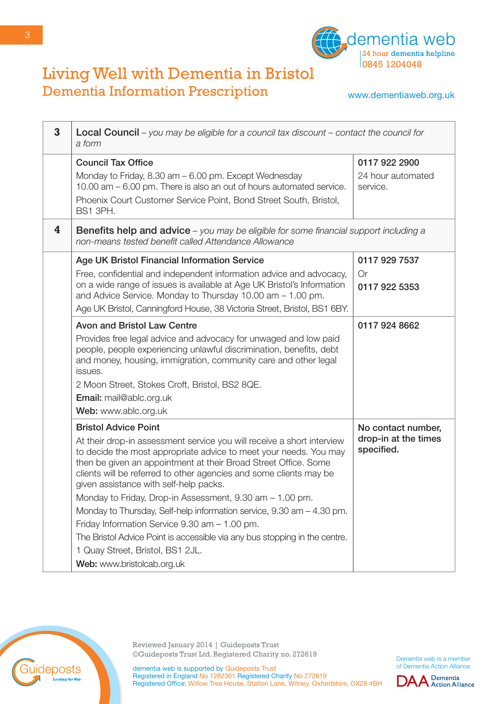

www.dementiaweb.org.uk

| 3 | Local Council - you may be eligible for a council tax discount - contact the council for<br>a form                                                                                                                                                                                                                             |                                    |
|---|--------------------------------------------------------------------------------------------------------------------------------------------------------------------------------------------------------------------------------------------------------------------------------------------------------------------------------|------------------------------------|
|   | <b>Council Tax Office</b><br>Monday to Friday, 8.30 am - 6.00 pm. Except Wednesday                                                                                                                                                                                                                                             | 0117 922 2900<br>24 hour automated |
|   | 10.00 am – 6.00 pm. There is also an out of hours automated service.<br>Phoenix Court Customer Service Point, Bond Street South, Bristol,<br>BS1 3PH.                                                                                                                                                                          | service.                           |
| 4 | <b>Benefits help and advice</b> – you may be eligible for some financial support including a<br>non-means tested benefit called Attendance Allowance                                                                                                                                                                           |                                    |
|   | <b>Age UK Bristol Financial Information Service</b>                                                                                                                                                                                                                                                                            | 0117 929 7537                      |
|   | Free, confidential and independent information advice and advocacy,<br>on a wide range of issues is available at Age UK Bristol's Information<br>and Advice Service. Monday to Thursday 10.00 am - 1.00 pm.<br>Age UK Bristol, Canningford House, 38 Victoria Street, Bristol, BS1 6BY.                                        | Or<br>0117 922 5353                |
|   | <b>Avon and Bristol Law Centre</b>                                                                                                                                                                                                                                                                                             | 0117 924 8662                      |
|   | Provides free legal advice and advocacy for unwaged and low paid<br>people, people experiencing unlawful discrimination, benefits, debt<br>and money, housing, immigration, community care and other legal<br>issues.                                                                                                          |                                    |
|   | 2 Moon Street, Stokes Croft, Bristol, BS2 8QE.                                                                                                                                                                                                                                                                                 |                                    |
|   | Email: mail@ablc.org.uk                                                                                                                                                                                                                                                                                                        |                                    |
|   | Web: www.ablc.org.uk                                                                                                                                                                                                                                                                                                           |                                    |
|   | <b>Bristol Advice Point</b>                                                                                                                                                                                                                                                                                                    | No contact number,                 |
|   | At their drop-in assessment service you will receive a short interview<br>to decide the most appropriate advice to meet your needs. You may<br>then be given an appointment at their Broad Street Office. Some<br>clients will be referred to other agencies and some clients may be<br>given assistance with self-help packs. | drop-in at the times<br>specified. |
|   | Monday to Friday, Drop-in Assessment, 9.30 am - 1.00 pm.                                                                                                                                                                                                                                                                       |                                    |
|   | Monday to Thursday, Self-help information service, 9.30 am – 4.30 pm.                                                                                                                                                                                                                                                          |                                    |
|   | Friday Information Service 9.30 am - 1.00 pm.                                                                                                                                                                                                                                                                                  |                                    |
|   | The Bristol Advice Point is accessible via any bus stopping in the centre.                                                                                                                                                                                                                                                     |                                    |
|   | 1 Quay Street, Bristol, BS1 2JL.                                                                                                                                                                                                                                                                                               |                                    |
|   | Web: www.bristolcab.org.uk                                                                                                                                                                                                                                                                                                     |                                    |



Reviewed January 2014 | Guideposts Trust ©Guideposts Trust Ltd. Registered Charity no. 272619

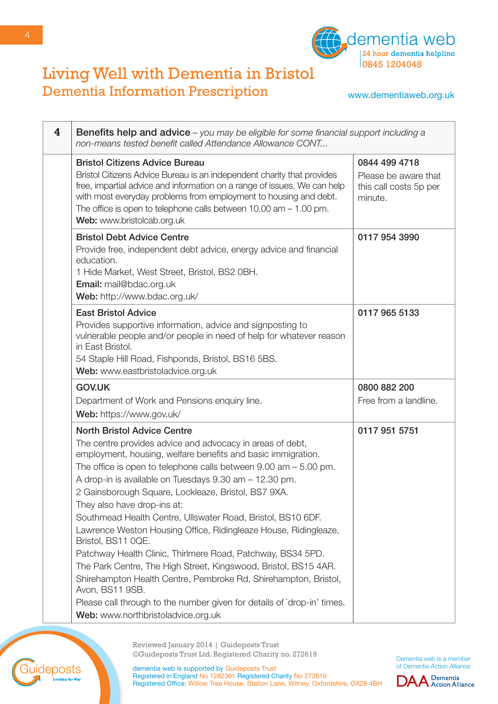

www.dementiaweb.org.uk

| 4 | <b>Benefits help and advice</b> – you may be eligible for some financial support including a<br>non-means tested benefit called Attendance Allowance CONT                                                                                                                                                                                                                                                                                                                                                                                                                                                                                                                                                                                                                                                                                                                               |                                                           |
|---|-----------------------------------------------------------------------------------------------------------------------------------------------------------------------------------------------------------------------------------------------------------------------------------------------------------------------------------------------------------------------------------------------------------------------------------------------------------------------------------------------------------------------------------------------------------------------------------------------------------------------------------------------------------------------------------------------------------------------------------------------------------------------------------------------------------------------------------------------------------------------------------------|-----------------------------------------------------------|
|   | <b>Bristol Citizens Advice Bureau</b>                                                                                                                                                                                                                                                                                                                                                                                                                                                                                                                                                                                                                                                                                                                                                                                                                                                   | 0844 499 4718                                             |
|   | Bristol Citizens Advice Bureau is an independent charity that provides<br>free, impartial advice and information on a range of issues. We can help<br>with most everyday problems from employment to housing and debt.<br>The office is open to telephone calls between $10.00$ am $-1.00$ pm.<br>Web: www.bristolcab.org.uk                                                                                                                                                                                                                                                                                                                                                                                                                                                                                                                                                            | Please be aware that<br>this call costs 5p per<br>minute. |
|   | <b>Bristol Debt Advice Centre</b><br>Provide free, independent debt advice, energy advice and financial<br>education.<br>1 Hide Market, West Street, Bristol, BS2 0BH.<br>Email: mail@bdac.org.uk<br>Web: http://www.bdac.org.uk/                                                                                                                                                                                                                                                                                                                                                                                                                                                                                                                                                                                                                                                       | 0117 954 3990                                             |
|   | <b>East Bristol Advice</b><br>Provides supportive information, advice and signposting to<br>vulnerable people and/or people in need of help for whatever reason<br>in East Bristol.<br>54 Staple Hill Road, Fishponds, Bristol, BS16 5BS.<br>Web: www.eastbristoladvice.org.uk                                                                                                                                                                                                                                                                                                                                                                                                                                                                                                                                                                                                          | 0117 965 5133                                             |
|   | <b>GOV.UK</b>                                                                                                                                                                                                                                                                                                                                                                                                                                                                                                                                                                                                                                                                                                                                                                                                                                                                           | 0800 882 200                                              |
|   | Department of Work and Pensions enquiry line.                                                                                                                                                                                                                                                                                                                                                                                                                                                                                                                                                                                                                                                                                                                                                                                                                                           | Free from a landline.                                     |
|   | Web: https://www.gov.uk/                                                                                                                                                                                                                                                                                                                                                                                                                                                                                                                                                                                                                                                                                                                                                                                                                                                                |                                                           |
|   | <b>North Bristol Advice Centre</b><br>The centre provides advice and advocacy in areas of debt,<br>employment, housing, welfare benefits and basic immigration.<br>The office is open to telephone calls between $9.00$ am $-5.00$ pm.<br>A drop-in is available on Tuesdays 9.30 am - 12.30 pm.<br>2 Gainsborough Square, Lockleaze, Bristol, BS7 9XA.<br>They also have drop-ins at:<br>Southmead Health Centre, Ullswater Road, Bristol, BS10 6DF.<br>Lawrence Weston Housing Office, Ridingleaze House, Ridingleaze,<br>Bristol, BS11 0QE.<br>Patchway Health Clinic, Thirlmere Road, Patchway, BS34 5PD.<br>The Park Centre, The High Street, Kingswood, Bristol, BS15 4AR.<br>Shirehampton Health Centre, Pembroke Rd, Shirehampton, Bristol,<br>Avon, BS11 9SB.<br>Please call through to the number given for details of `drop-in' times.<br>Web: www.northbristoladvice.org.uk | 0117 951 5751                                             |

Reviewed January 2014 | Guideposts Trust ©Guideposts Trust Ltd. Registered Charity no. 272619

Dementia web is a member of Dementia Action Alliance



dementia web is supported by Guideposts Trust Registered in England No 1282361 Registered Charity No 272619 Registered Office: Willow Tree House, Station Lane, Witney, Oxfordshire, OX28 4BH

uideposts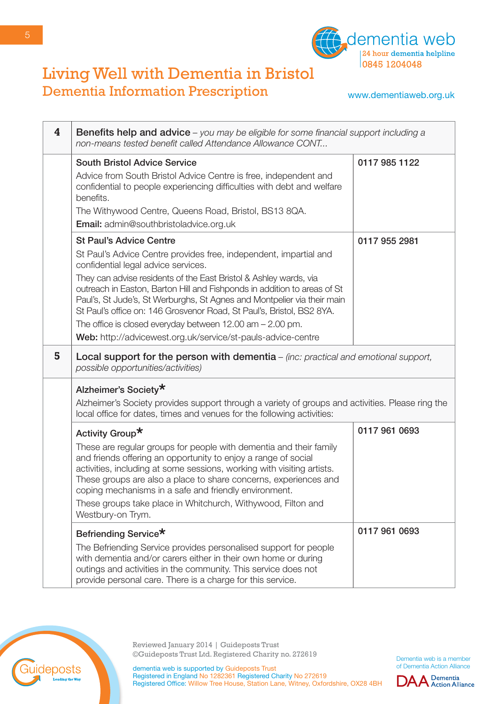

www.dementiaweb.org.uk

| 4 | <b>Benefits help and advice</b> – you may be eligible for some financial support including a<br>non-means tested benefit called Attendance Allowance CONT                                                                                                                                                                                                                                                                                                                                                                                                                        |               |
|---|----------------------------------------------------------------------------------------------------------------------------------------------------------------------------------------------------------------------------------------------------------------------------------------------------------------------------------------------------------------------------------------------------------------------------------------------------------------------------------------------------------------------------------------------------------------------------------|---------------|
|   | <b>South Bristol Advice Service</b><br>Advice from South Bristol Advice Centre is free, independent and<br>confidential to people experiencing difficulties with debt and welfare<br>benefits.<br>The Withywood Centre, Queens Road, Bristol, BS13 8QA.<br><b>Email:</b> admin@southbristoladvice.org.uk                                                                                                                                                                                                                                                                         | 0117 985 1122 |
|   | <b>St Paul's Advice Centre</b><br>St Paul's Advice Centre provides free, independent, impartial and<br>confidential legal advice services.<br>They can advise residents of the East Bristol & Ashley wards, via<br>outreach in Easton, Barton Hill and Fishponds in addition to areas of St<br>Paul's, St Jude's, St Werburghs, St Agnes and Montpelier via their main<br>St Paul's office on: 146 Grosvenor Road, St Paul's, Bristol, BS2 8YA.<br>The office is closed everyday between $12.00$ am $- 2.00$ pm.<br>Web: http://advicewest.org.uk/service/st-pauls-advice-centre | 0117 955 2981 |
| 5 | <b>Local support for the person with dementia</b> $-$ (inc: practical and emotional support,<br>possible opportunities/activities)                                                                                                                                                                                                                                                                                                                                                                                                                                               |               |
|   | Alzheimer's Society*<br>Alzheimer's Society provides support through a variety of groups and activities. Please ring the<br>local office for dates, times and venues for the following activities:                                                                                                                                                                                                                                                                                                                                                                               |               |
|   | Activity Group*<br>These are regular groups for people with dementia and their family<br>and friends offering an opportunity to enjoy a range of social<br>activities, including at some sessions, working with visiting artists.<br>These groups are also a place to share concerns, experiences and<br>coping mechanisms in a safe and friendly environment.<br>These groups take place in Whitchurch, Withywood, Filton and<br>Westbury-on Trym.                                                                                                                              | 0117 961 0693 |
|   | Befriending Service*<br>The Befriending Service provides personalised support for people<br>with dementia and/or carers either in their own home or during<br>outings and activities in the community. This service does not<br>provide personal care. There is a charge for this service.                                                                                                                                                                                                                                                                                       | 0117 961 0693 |



Reviewed January 2014 | Guideposts Trust ©Guideposts Trust Ltd. Registered Charity no. 272619

**DAA** Dementia

dementia web is supported by Guideposts Trust Registered in England No 1282361 Registered Charity No 272619 Registered Office: Willow Tree House, Station Lane, Witney, Oxfordshire, OX28 4BH

5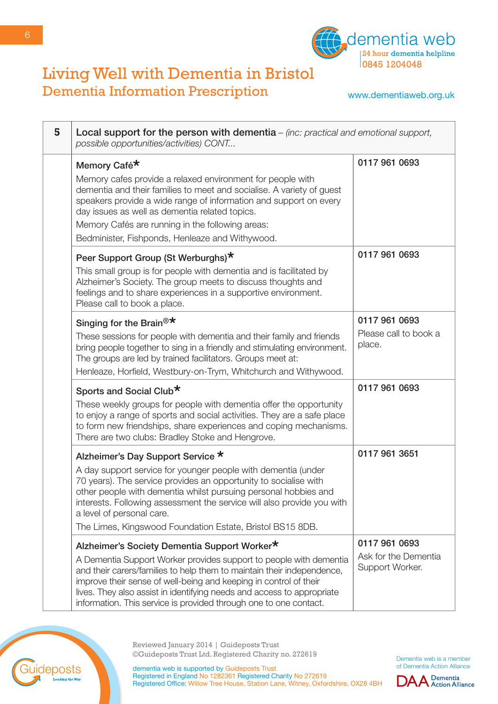

www.dementiaweb.org.uk

| 5 | Local support for the person with dementia $-$ (inc: practical and emotional support,<br>possible opportunities/activities) CONT                                                                                                                                                                                                                                                                                 |                                                          |
|---|------------------------------------------------------------------------------------------------------------------------------------------------------------------------------------------------------------------------------------------------------------------------------------------------------------------------------------------------------------------------------------------------------------------|----------------------------------------------------------|
|   | Memory Café*<br>Memory cafes provide a relaxed environment for people with<br>dementia and their families to meet and socialise. A variety of guest<br>speakers provide a wide range of information and support on every<br>day issues as well as dementia related topics.<br>Memory Cafés are running in the following areas:<br>Bedminister, Fishponds, Henleaze and Withywood.                                | 0117 961 0693                                            |
|   | Peer Support Group (St Werburghs)*<br>This small group is for people with dementia and is facilitated by<br>Alzheimer's Society. The group meets to discuss thoughts and<br>feelings and to share experiences in a supportive environment.<br>Please call to book a place.                                                                                                                                       | 0117 961 0693                                            |
|   | Singing for the Brain <sup>®*</sup><br>These sessions for people with dementia and their family and friends<br>bring people together to sing in a friendly and stimulating environment.<br>The groups are led by trained facilitators. Groups meet at:<br>Henleaze, Horfield, Westbury-on-Trym, Whitchurch and Withywood.                                                                                        | 0117 961 0693<br>Please call to book a<br>place.         |
|   | Sports and Social Club*<br>These weekly groups for people with dementia offer the opportunity<br>to enjoy a range of sports and social activities. They are a safe place<br>to form new friendships, share experiences and coping mechanisms.<br>There are two clubs: Bradley Stoke and Hengrove.                                                                                                                | 0117 961 0693                                            |
|   | Alzheimer's Day Support Service *<br>A day support service for younger people with dementia (under<br>70 years). The service provides an opportunity to socialise with<br>other people with dementia whilst pursuing personal hobbies and<br>interests. Following assessment the service will also provide you with<br>a level of personal care.<br>The Limes, Kingswood Foundation Estate, Bristol BS15 8DB.    | 0117 961 3651                                            |
|   | Alzheimer's Society Dementia Support Worker*<br>A Dementia Support Worker provides support to people with dementia<br>and their carers/families to help them to maintain their independence,<br>improve their sense of well-being and keeping in control of their<br>lives. They also assist in identifying needs and access to appropriate<br>information. This service is provided through one to one contact. | 0117 961 0693<br>Ask for the Dementia<br>Support Worker. |



Reviewed January 2014 | Guideposts Trust ©Guideposts Trust Ltd. Registered Charity no. 272619

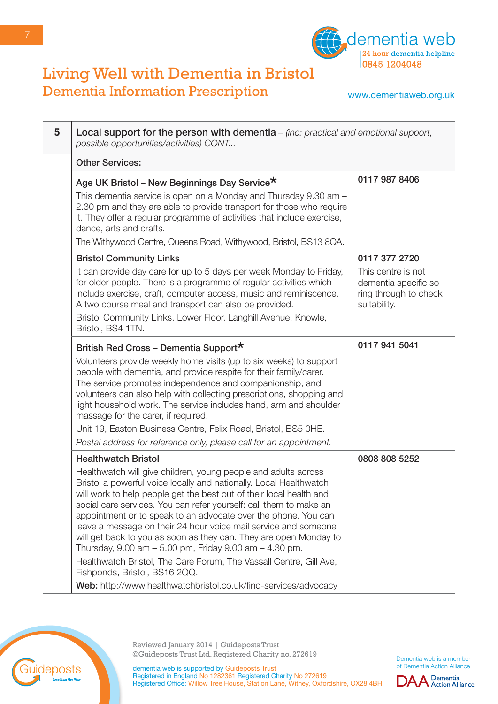

www.dementiaweb.org.uk

| 5 | Local support for the person with dementia $-$ (inc: practical and emotional support,<br>possible opportunities/activities) CONT                                                                                                                                                                                                                                                                                                                                                                                                                                                                                                                                                                                                                              |                                                                                                      |
|---|---------------------------------------------------------------------------------------------------------------------------------------------------------------------------------------------------------------------------------------------------------------------------------------------------------------------------------------------------------------------------------------------------------------------------------------------------------------------------------------------------------------------------------------------------------------------------------------------------------------------------------------------------------------------------------------------------------------------------------------------------------------|------------------------------------------------------------------------------------------------------|
|   | <b>Other Services:</b>                                                                                                                                                                                                                                                                                                                                                                                                                                                                                                                                                                                                                                                                                                                                        |                                                                                                      |
|   | Age UK Bristol - New Beginnings Day Service*<br>This dementia service is open on a Monday and Thursday 9.30 am -<br>2.30 pm and they are able to provide transport for those who require<br>it. They offer a regular programme of activities that include exercise,<br>dance, arts and crafts.<br>The Withywood Centre, Queens Road, Withywood, Bristol, BS13 8QA.                                                                                                                                                                                                                                                                                                                                                                                            | 0117 987 8406                                                                                        |
|   | <b>Bristol Community Links</b><br>It can provide day care for up to 5 days per week Monday to Friday,<br>for older people. There is a programme of regular activities which<br>include exercise, craft, computer access, music and reminiscence.<br>A two course meal and transport can also be provided.<br>Bristol Community Links, Lower Floor, Langhill Avenue, Knowle,<br>Bristol, BS4 1TN.                                                                                                                                                                                                                                                                                                                                                              | 0117 377 2720<br>This centre is not<br>dementia specific so<br>ring through to check<br>suitability. |
|   | British Red Cross - Dementia Support*<br>Volunteers provide weekly home visits (up to six weeks) to support<br>people with dementia, and provide respite for their family/carer.<br>The service promotes independence and companionship, and<br>volunteers can also help with collecting prescriptions, shopping and<br>light household work. The service includes hand, arm and shoulder<br>massage for the carer, if required.<br>Unit 19, Easton Business Centre, Felix Road, Bristol, BS5 OHE.<br>Postal address for reference only, please call for an appointment.                                                                                                                                                                                      | 0117 941 5041                                                                                        |
|   | <b>Healthwatch Bristol</b><br>Healthwatch will give children, young people and adults across<br>Bristol a powerful voice locally and nationally. Local Healthwatch<br>will work to help people get the best out of their local health and<br>social care services. You can refer yourself: call them to make an<br>appointment or to speak to an advocate over the phone. You can<br>leave a message on their 24 hour voice mail service and someone<br>will get back to you as soon as they can. They are open Monday to<br>Thursday, 9.00 am - 5.00 pm, Friday 9.00 am - 4.30 pm.<br>Healthwatch Bristol, The Care Forum, The Vassall Centre, Gill Ave,<br>Fishponds, Bristol, BS16 2QQ.<br>Web: http://www.healthwatchbristol.co.uk/find-services/advocacy | 0808 808 5252                                                                                        |



Reviewed January 2014 | Guideposts Trust ©Guideposts Trust Ltd. Registered Charity no. 272619

Dementia web is a member of Dementia Action Alliance

**DAA** Dementia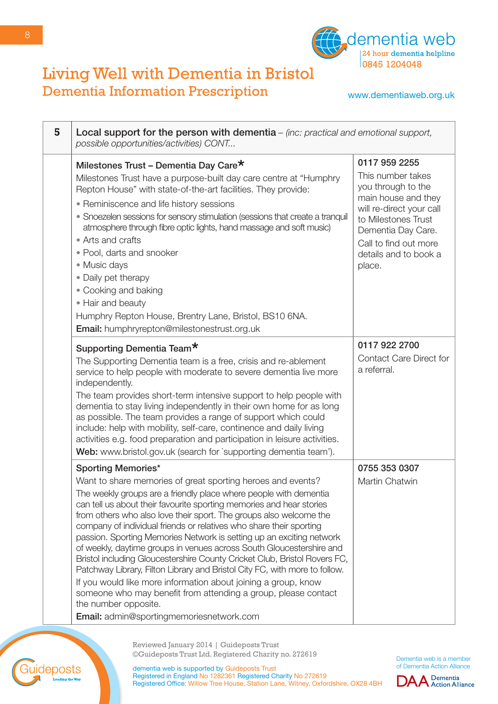

www.dementiaweb.org.uk

| 5 | Local support for the person with dementia $-$ (inc: practical and emotional support,<br>possible opportunities/activities) CONT                                                                                                                                                                                                                                                                                                                                                                                                                                                                                                                                                                                                                                                                                                                                                                      |                                                                                                                                                                                                                      |
|---|-------------------------------------------------------------------------------------------------------------------------------------------------------------------------------------------------------------------------------------------------------------------------------------------------------------------------------------------------------------------------------------------------------------------------------------------------------------------------------------------------------------------------------------------------------------------------------------------------------------------------------------------------------------------------------------------------------------------------------------------------------------------------------------------------------------------------------------------------------------------------------------------------------|----------------------------------------------------------------------------------------------------------------------------------------------------------------------------------------------------------------------|
|   | Milestones Trust - Dementia Day Care*<br>Milestones Trust have a purpose-built day care centre at "Humphry<br>Repton House" with state-of-the-art facilities. They provide:<br>• Reminiscence and life history sessions<br>• Snoezelen sessions for sensory stimulation (sessions that create a tranquil<br>atmosphere through fibre optic lights, hand massage and soft music)<br>• Arts and crafts<br>• Pool, darts and snooker<br>• Music days<br>• Daily pet therapy<br>• Cooking and baking<br>• Hair and beauty<br>Humphry Repton House, Brentry Lane, Bristol, BS10 6NA.                                                                                                                                                                                                                                                                                                                       | 0117 959 2255<br>This number takes<br>you through to the<br>main house and they<br>will re-direct your call<br>to Milestones Trust<br>Dementia Day Care.<br>Call to find out more<br>details and to book a<br>place. |
|   | Email: humphryrepton@milestonestrust.org.uk<br>Supporting Dementia Team*<br>The Supporting Dementia team is a free, crisis and re-ablement<br>service to help people with moderate to severe dementia live more<br>independently.<br>The team provides short-term intensive support to help people with<br>dementia to stay living independently in their own home for as long<br>as possible. The team provides a range of support which could<br>include: help with mobility, self-care, continence and daily living<br>activities e.g. food preparation and participation in leisure activities.<br>Web: www.bristol.gov.uk (search for `supporting dementia team').                                                                                                                                                                                                                               | 0117 922 2700<br><b>Contact Care Direct for</b><br>a referral.                                                                                                                                                       |
|   | <b>Sporting Memories*</b><br>Want to share memories of great sporting heroes and events?<br>The weekly groups are a friendly place where people with dementia<br>can tell us about their favourite sporting memories and hear stories<br>from others who also love their sport. The groups also welcome the<br>company of individual friends or relatives who share their sporting<br>passion. Sporting Memories Network is setting up an exciting network<br>of weekly, daytime groups in venues across South Gloucestershire and<br>Bristol including Gloucestershire County Cricket Club, Bristol Rovers FC,<br>Patchway Library, Filton Library and Bristol City FC, with more to follow.<br>If you would like more information about joining a group, know<br>someone who may benefit from attending a group, please contact<br>the number opposite.<br>Email: admin@sportingmemoriesnetwork.com | 0755 353 0307<br>Martin Chatwin                                                                                                                                                                                      |



uideposts

Dementia web is a member of Dementia Action Alliance

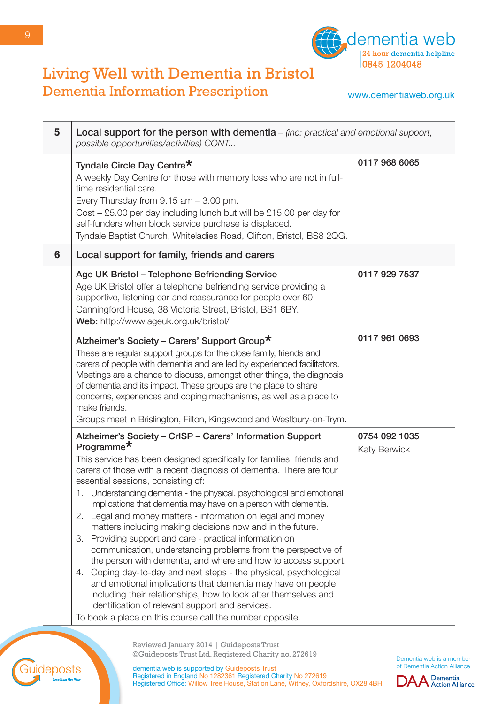

www.dementiaweb.org.uk

| 5 | Local support for the person with dementia $-$ (inc: practical and emotional support,<br>possible opportunities/activities) CONT                                                                                                                                                                                                                                                                                                                                                                                                                                                                                                                                                                                                                                                                                                                                                                                                                                                                                                                                                 |                                      |
|---|----------------------------------------------------------------------------------------------------------------------------------------------------------------------------------------------------------------------------------------------------------------------------------------------------------------------------------------------------------------------------------------------------------------------------------------------------------------------------------------------------------------------------------------------------------------------------------------------------------------------------------------------------------------------------------------------------------------------------------------------------------------------------------------------------------------------------------------------------------------------------------------------------------------------------------------------------------------------------------------------------------------------------------------------------------------------------------|--------------------------------------|
|   | Tyndale Circle Day Centre*<br>A weekly Day Centre for those with memory loss who are not in full-<br>time residential care.<br>Every Thursday from $9.15$ am $-3.00$ pm.<br>Cost – £5.00 per day including lunch but will be £15.00 per day for<br>self-funders when block service purchase is displaced.<br>Tyndale Baptist Church, Whiteladies Road, Clifton, Bristol, BS8 2QG.                                                                                                                                                                                                                                                                                                                                                                                                                                                                                                                                                                                                                                                                                                | 0117 968 6065                        |
| 6 | Local support for family, friends and carers                                                                                                                                                                                                                                                                                                                                                                                                                                                                                                                                                                                                                                                                                                                                                                                                                                                                                                                                                                                                                                     |                                      |
|   | Age UK Bristol - Telephone Befriending Service<br>Age UK Bristol offer a telephone befriending service providing a<br>supportive, listening ear and reassurance for people over 60.<br>Canningford House, 38 Victoria Street, Bristol, BS1 6BY.<br>Web: http://www.ageuk.org.uk/bristol/                                                                                                                                                                                                                                                                                                                                                                                                                                                                                                                                                                                                                                                                                                                                                                                         | 0117 929 7537                        |
|   | Alzheimer's Society - Carers' Support Group*<br>These are regular support groups for the close family, friends and<br>carers of people with dementia and are led by experienced facilitators.<br>Meetings are a chance to discuss, amongst other things, the diagnosis<br>of dementia and its impact. These groups are the place to share<br>concerns, experiences and coping mechanisms, as well as a place to<br>make friends.<br>Groups meet in Brislington, Filton, Kingswood and Westbury-on-Trym.                                                                                                                                                                                                                                                                                                                                                                                                                                                                                                                                                                          | 0117 961 0693                        |
|   | Alzheimer's Society - CrISP - Carers' Information Support<br>Programme <sup>*</sup><br>This service has been designed specifically for families, friends and<br>carers of those with a recent diagnosis of dementia. There are four<br>essential sessions, consisting of:<br>1. Understanding dementia - the physical, psychological and emotional<br>implications that dementia may have on a person with dementia.<br>Legal and money matters - information on legal and money<br>2.<br>matters including making decisions now and in the future.<br>Providing support and care - practical information on<br>З.<br>communication, understanding problems from the perspective of<br>the person with dementia, and where and how to access support.<br>Coping day-to-day and next steps - the physical, psychological<br>4.<br>and emotional implications that dementia may have on people,<br>including their relationships, how to look after themselves and<br>identification of relevant support and services.<br>To book a place on this course call the number opposite. | 0754 092 1035<br><b>Katy Berwick</b> |



Registered in England No 1282361 Registered Charity No 272619

Registered Office: Willow Tree House, Station Lane, Witney, Oxfordshire, OX28 4BH

dementia web is supported by Guideposts Trust



uideposts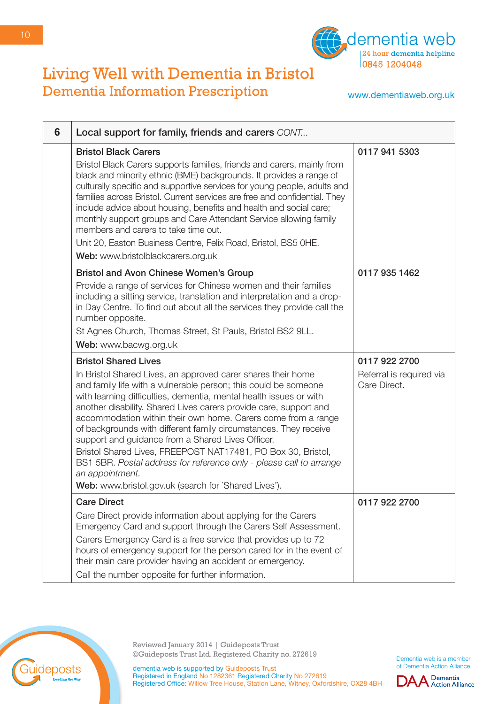

www.dementiaweb.org.uk

| 6 | Local support for family, friends and carers CONT                                                                                                                                                                                                                                                                                                                                                                                                                                                                                                                                                                                                                                                                     |                                                           |
|---|-----------------------------------------------------------------------------------------------------------------------------------------------------------------------------------------------------------------------------------------------------------------------------------------------------------------------------------------------------------------------------------------------------------------------------------------------------------------------------------------------------------------------------------------------------------------------------------------------------------------------------------------------------------------------------------------------------------------------|-----------------------------------------------------------|
|   | <b>Bristol Black Carers</b><br>Bristol Black Carers supports families, friends and carers, mainly from<br>black and minority ethnic (BME) backgrounds. It provides a range of<br>culturally specific and supportive services for young people, adults and<br>families across Bristol. Current services are free and confidential. They<br>include advice about housing, benefits and health and social care;<br>monthly support groups and Care Attendant Service allowing family<br>members and carers to take time out.<br>Unit 20, Easton Business Centre, Felix Road, Bristol, BS5 OHE.<br>Web: www.bristolblackcarers.org.uk                                                                                     | 0117 941 5303                                             |
|   | <b>Bristol and Avon Chinese Women's Group</b><br>Provide a range of services for Chinese women and their families<br>including a sitting service, translation and interpretation and a drop-<br>in Day Centre. To find out about all the services they provide call the<br>number opposite.<br>St Agnes Church, Thomas Street, St Pauls, Bristol BS2 9LL.<br>Web: www.bacwg.org.uk                                                                                                                                                                                                                                                                                                                                    | 0117 935 1462                                             |
|   | <b>Bristol Shared Lives</b><br>In Bristol Shared Lives, an approved carer shares their home<br>and family life with a vulnerable person; this could be someone<br>with learning difficulties, dementia, mental health issues or with<br>another disability. Shared Lives carers provide care, support and<br>accommodation within their own home. Carers come from a range<br>of backgrounds with different family circumstances. They receive<br>support and guidance from a Shared Lives Officer.<br>Bristol Shared Lives, FREEPOST NAT17481, PO Box 30, Bristol,<br>BS1 5BR. Postal address for reference only - please call to arrange<br>an appointment.<br>Web: www.bristol.gov.uk (search for `Shared Lives'). | 0117 922 2700<br>Referral is required via<br>Care Direct. |
|   | <b>Care Direct</b><br>Care Direct provide information about applying for the Carers<br>Emergency Card and support through the Carers Self Assessment.<br>Carers Emergency Card is a free service that provides up to 72<br>hours of emergency support for the person cared for in the event of<br>their main care provider having an accident or emergency.<br>Call the number opposite for further information.                                                                                                                                                                                                                                                                                                      | 0117 922 2700                                             |



Reviewed January 2014 | Guideposts Trust ©Guideposts Trust Ltd. Registered Charity no. 272619

Dementia web is a member of Dementia Action Alliance

dementia web is supported by Guideposts Trust Registered in England No 1282361 Registered Charity No 272619 Registered Office: Willow Tree House, Station Lane, Witney, Oxfordshire, OX28 4BH

10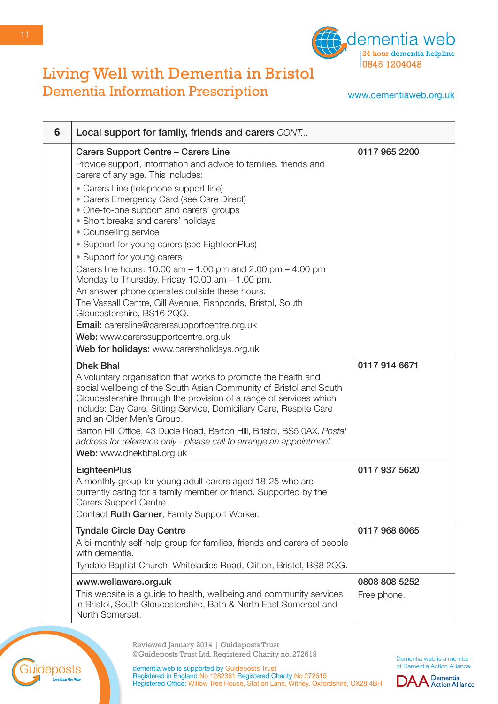

www.dementiaweb.org.uk

| 6 | Local support for family, friends and carers CONT                                                                                                                                                                                                                                                                                                                                                                                                                                                                                                                                                                                                                                                                                                                                                                                         |                              |
|---|-------------------------------------------------------------------------------------------------------------------------------------------------------------------------------------------------------------------------------------------------------------------------------------------------------------------------------------------------------------------------------------------------------------------------------------------------------------------------------------------------------------------------------------------------------------------------------------------------------------------------------------------------------------------------------------------------------------------------------------------------------------------------------------------------------------------------------------------|------------------------------|
|   | Carers Support Centre - Carers Line<br>Provide support, information and advice to families, friends and<br>carers of any age. This includes:<br>• Carers Line (telephone support line)<br>• Carers Emergency Card (see Care Direct)<br>• One-to-one support and carers' groups<br>• Short breaks and carers' holidays<br>• Counselling service<br>• Support for young carers (see EighteenPlus)<br>• Support for young carers<br>Carers line hours: $10.00$ am $- 1.00$ pm and $2.00$ pm $- 4.00$ pm<br>Monday to Thursday. Friday 10.00 am - 1.00 pm.<br>An answer phone operates outside these hours.<br>The Vassall Centre, Gill Avenue, Fishponds, Bristol, South<br>Gloucestershire, BS16 2QQ.<br>Email: carersline@carerssupportcentre.org.uk<br>Web: www.carerssupportcentre.org.uk<br>Web for holidays: www.carersholidays.org.uk | 0117 965 2200                |
|   | <b>Dhek Bhal</b><br>A voluntary organisation that works to promote the health and<br>social wellbeing of the South Asian Community of Bristol and South<br>Gloucestershire through the provision of a range of services which<br>include: Day Care, Sitting Service, Domiciliary Care, Respite Care<br>and an Older Men's Group.<br>Barton Hill Office, 43 Ducie Road, Barton Hill, Bristol, BS5 0AX. Postal<br>address for reference only - please call to arrange an appointment.<br>Web: www.dhekbhal.org.uk                                                                                                                                                                                                                                                                                                                           | 0117 914 6671                |
|   | <b>EighteenPlus</b><br>A monthly group for young adult carers aged 18-25 who are<br>currently caring for a family member or friend. Supported by the<br>Carers Support Centre.<br>Contact Ruth Garner, Family Support Worker.                                                                                                                                                                                                                                                                                                                                                                                                                                                                                                                                                                                                             | 0117 937 5620                |
|   | <b>Tyndale Circle Day Centre</b><br>A bi-monthly self-help group for families, friends and carers of people<br>with dementia.<br>Tyndale Baptist Church, Whiteladies Road, Clifton, Bristol, BS8 2QG.                                                                                                                                                                                                                                                                                                                                                                                                                                                                                                                                                                                                                                     | 0117 968 6065                |
|   | www.wellaware.org.uk<br>This website is a guide to health, wellbeing and community services<br>in Bristol, South Gloucestershire, Bath & North East Somerset and<br>North Somerset.                                                                                                                                                                                                                                                                                                                                                                                                                                                                                                                                                                                                                                                       | 0808 808 5252<br>Free phone. |



Reviewed January 2014 | Guideposts Trust ©Guideposts Trust Ltd. Registered Charity no. 272619

Dementia web is a member of Dementia Action Alliance

**DAA** Dementia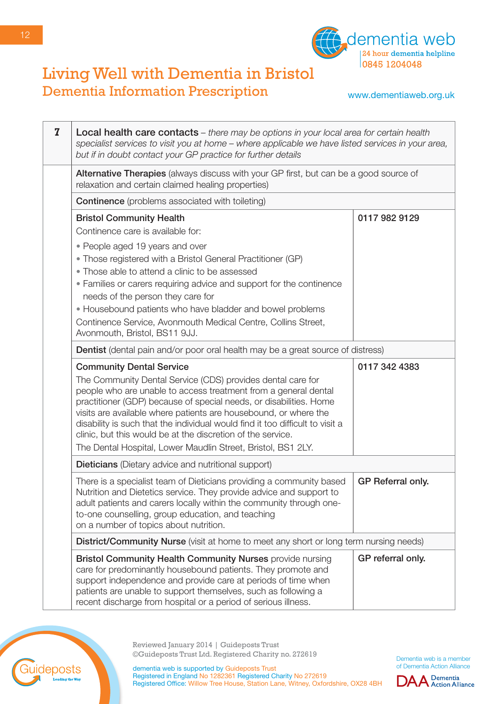

www.dementiaweb.org.uk

| $\overline{z}$ | <b>Local health care contacts</b> – there may be options in your local area for certain health<br>specialist services to visit you at home - where applicable we have listed services in your area,<br>but if in doubt contact your GP practice for further details                                                                                                                                                                                                                      |                   |
|----------------|------------------------------------------------------------------------------------------------------------------------------------------------------------------------------------------------------------------------------------------------------------------------------------------------------------------------------------------------------------------------------------------------------------------------------------------------------------------------------------------|-------------------|
|                | Alternative Therapies (always discuss with your GP first, but can be a good source of<br>relaxation and certain claimed healing properties)                                                                                                                                                                                                                                                                                                                                              |                   |
|                | <b>Continence</b> (problems associated with toileting)                                                                                                                                                                                                                                                                                                                                                                                                                                   |                   |
|                | <b>Bristol Community Health</b>                                                                                                                                                                                                                                                                                                                                                                                                                                                          | 0117 982 9129     |
|                | Continence care is available for:                                                                                                                                                                                                                                                                                                                                                                                                                                                        |                   |
|                | • People aged 19 years and over                                                                                                                                                                                                                                                                                                                                                                                                                                                          |                   |
|                | • Those registered with a Bristol General Practitioner (GP)                                                                                                                                                                                                                                                                                                                                                                                                                              |                   |
|                | • Those able to attend a clinic to be assessed                                                                                                                                                                                                                                                                                                                                                                                                                                           |                   |
|                | • Families or carers requiring advice and support for the continence                                                                                                                                                                                                                                                                                                                                                                                                                     |                   |
|                | needs of the person they care for                                                                                                                                                                                                                                                                                                                                                                                                                                                        |                   |
|                | • Housebound patients who have bladder and bowel problems                                                                                                                                                                                                                                                                                                                                                                                                                                |                   |
|                | Continence Service, Avonmouth Medical Centre, Collins Street,<br>Avonmouth, Bristol, BS11 9JJ.                                                                                                                                                                                                                                                                                                                                                                                           |                   |
|                | <b>Dentist</b> (dental pain and/or poor oral health may be a great source of distress)                                                                                                                                                                                                                                                                                                                                                                                                   |                   |
|                | <b>Community Dental Service</b>                                                                                                                                                                                                                                                                                                                                                                                                                                                          | 0117 342 4383     |
|                | The Community Dental Service (CDS) provides dental care for<br>people who are unable to access treatment from a general dental<br>practitioner (GDP) because of special needs, or disabilities. Home<br>visits are available where patients are housebound, or where the<br>disability is such that the individual would find it too difficult to visit a<br>clinic, but this would be at the discretion of the service.<br>The Dental Hospital, Lower Maudlin Street, Bristol, BS1 2LY. |                   |
|                | <b>Dieticians</b> (Dietary advice and nutritional support)                                                                                                                                                                                                                                                                                                                                                                                                                               |                   |
|                | There is a specialist team of Dieticians providing a community based<br>Nutrition and Dietetics service. They provide advice and support to<br>adult patients and carers locally within the community through one-<br>to-one counselling, group education, and teaching<br>on a number of topics about nutrition.                                                                                                                                                                        | GP Referral only. |
|                | District/Community Nurse (visit at home to meet any short or long term nursing needs)                                                                                                                                                                                                                                                                                                                                                                                                    |                   |
|                | Bristol Community Health Community Nurses provide nursing<br>care for predominantly housebound patients. They promote and<br>support independence and provide care at periods of time when<br>patients are unable to support themselves, such as following a<br>recent discharge from hospital or a period of serious illness.                                                                                                                                                           | GP referral only. |



Reviewed January 2014 | Guideposts Trust ©Guideposts Trust Ltd. Registered Charity no. 272619

Dementia web is a member of Dementia Action Alliance

**DAA** Dementia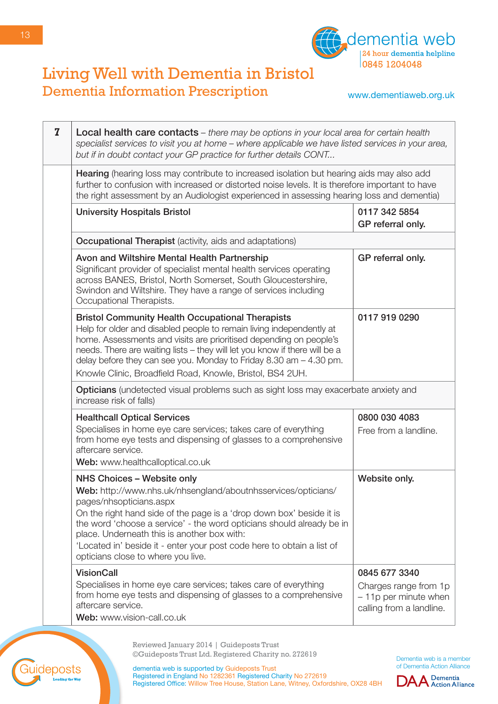

#### www.dementiaweb.org.uk

| $\mathbf{Z}$ | <b>Local health care contacts</b> – there may be options in your local area for certain health<br>specialist services to visit you at home - where applicable we have listed services in your area,<br>but if in doubt contact your GP practice for further details CONT                                                                                                                                                               |                                                                                             |
|--------------|----------------------------------------------------------------------------------------------------------------------------------------------------------------------------------------------------------------------------------------------------------------------------------------------------------------------------------------------------------------------------------------------------------------------------------------|---------------------------------------------------------------------------------------------|
|              | Hearing (hearing loss may contribute to increased isolation but hearing aids may also add<br>further to confusion with increased or distorted noise levels. It is therefore important to have<br>the right assessment by an Audiologist experienced in assessing hearing loss and dementia)                                                                                                                                            |                                                                                             |
|              | <b>University Hospitals Bristol</b>                                                                                                                                                                                                                                                                                                                                                                                                    | 0117 342 5854<br>GP referral only.                                                          |
|              | <b>Occupational Therapist</b> (activity, aids and adaptations)                                                                                                                                                                                                                                                                                                                                                                         |                                                                                             |
|              | Avon and Wiltshire Mental Health Partnership<br>Significant provider of specialist mental health services operating<br>across BANES, Bristol, North Somerset, South Gloucestershire,<br>Swindon and Wiltshire. They have a range of services including<br>Occupational Therapists.                                                                                                                                                     | GP referral only.                                                                           |
|              | <b>Bristol Community Health Occupational Therapists</b><br>Help for older and disabled people to remain living independently at<br>home. Assessments and visits are prioritised depending on people's<br>needs. There are waiting lists - they will let you know if there will be a<br>delay before they can see you. Monday to Friday 8.30 am $-$ 4.30 pm.<br>Knowle Clinic, Broadfield Road, Knowle, Bristol, BS4 2UH.               | 0117 919 0290                                                                               |
|              | <b>Opticians</b> (undetected visual problems such as sight loss may exacerbate anxiety and<br>increase risk of falls)                                                                                                                                                                                                                                                                                                                  |                                                                                             |
|              | <b>Healthcall Optical Services</b><br>Specialises in home eye care services; takes care of everything<br>from home eye tests and dispensing of glasses to a comprehensive<br>aftercare service.<br>Web: www.healthcalloptical.co.uk                                                                                                                                                                                                    | 0800 030 4083<br>Free from a landline.                                                      |
|              | NHS Choices - Website only<br>Web: http://www.nhs.uk/nhsengland/aboutnhsservices/opticians/<br>pages/nhsopticians.aspx<br>On the right hand side of the page is a 'drop down box' beside it is<br>the word 'choose a service' - the word opticians should already be in<br>place. Underneath this is another box with:<br>'Located in' beside it - enter your post code here to obtain a list of<br>opticians close to where you live. | Website only.                                                                               |
|              | <b>VisionCall</b><br>Specialises in home eye care services; takes care of everything<br>from home eye tests and dispensing of glasses to a comprehensive<br>aftercare service.<br>Web: www.vision-call.co.uk                                                                                                                                                                                                                           | 0845 677 3340<br>Charges range from 1p<br>- 11p per minute when<br>calling from a landline. |

Reviewed January 2014 | Guideposts Trust ©Guideposts Trust Ltd. Registered Charity no. 272619

Dementia web is a member of Dementia Action Alliance



dementia web is supported by Guideposts Trust Registered in England No 1282361 Registered Charity No 272619 Registered Office: Willow Tree House, Station Lane, Witney, Oxfordshire, OX28 4BH

uideposts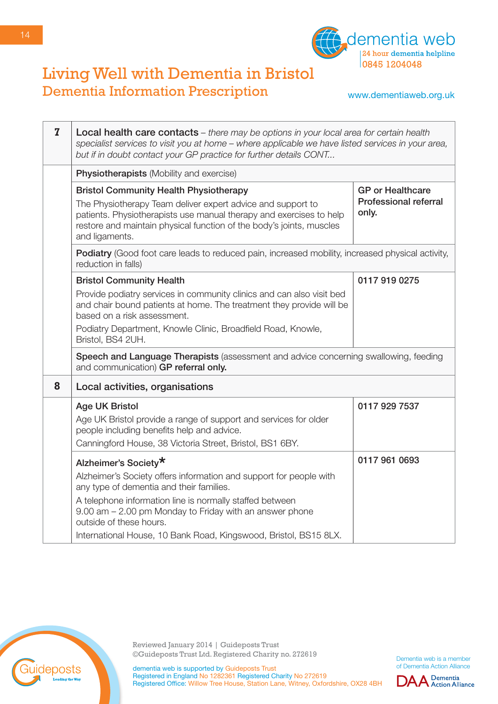

www.dementiaweb.org.uk

| $\overline{z}$ | <b>Local health care contacts</b> – there may be options in your local area for certain health<br>specialist services to visit you at home - where applicable we have listed services in your area,<br>but if in doubt contact your GP practice for further details CONT                             |                                                                  |
|----------------|------------------------------------------------------------------------------------------------------------------------------------------------------------------------------------------------------------------------------------------------------------------------------------------------------|------------------------------------------------------------------|
|                | <b>Physiotherapists (Mobility and exercise)</b>                                                                                                                                                                                                                                                      |                                                                  |
|                | <b>Bristol Community Health Physiotherapy</b><br>The Physiotherapy Team deliver expert advice and support to<br>patients. Physiotherapists use manual therapy and exercises to help<br>restore and maintain physical function of the body's joints, muscles<br>and ligaments.                        | <b>GP</b> or Healthcare<br><b>Professional referral</b><br>only. |
|                | Podiatry (Good foot care leads to reduced pain, increased mobility, increased physical activity,<br>reduction in falls)                                                                                                                                                                              |                                                                  |
|                | <b>Bristol Community Health</b><br>Provide podiatry services in community clinics and can also visit bed<br>and chair bound patients at home. The treatment they provide will be<br>based on a risk assessment.<br>Podiatry Department, Knowle Clinic, Broadfield Road, Knowle,<br>Bristol, BS4 2UH. | 0117 919 0275                                                    |
|                | Speech and Language Therapists (assessment and advice concerning swallowing, feeding<br>and communication) GP referral only.                                                                                                                                                                         |                                                                  |
| 8              | Local activities, organisations                                                                                                                                                                                                                                                                      |                                                                  |
|                | <b>Age UK Bristol</b><br>Age UK Bristol provide a range of support and services for older<br>people including benefits help and advice.<br>Canningford House, 38 Victoria Street, Bristol, BS1 6BY.                                                                                                  | 0117 929 7537                                                    |
|                | Alzheimer's Society*                                                                                                                                                                                                                                                                                 | 0117 961 0693                                                    |
|                | Alzheimer's Society offers information and support for people with<br>any type of dementia and their families.                                                                                                                                                                                       |                                                                  |
|                | A telephone information line is normally staffed between<br>9.00 am - 2.00 pm Monday to Friday with an answer phone<br>outside of these hours.                                                                                                                                                       |                                                                  |
|                | International House, 10 Bank Road, Kingswood, Bristol, BS15 8LX.                                                                                                                                                                                                                                     |                                                                  |



Reviewed January 2014 | Guideposts Trust ©Guideposts Trust Ltd. Registered Charity no. 272619

Dementia web is a member of Dementia Action Alliance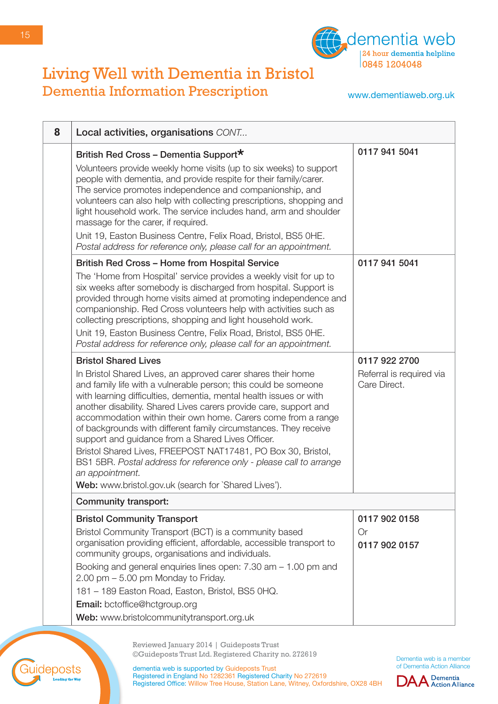

www.dementiaweb.org.uk

| 8 | Local activities, organisations CONT                                                                                                                                                                                                                                                                                                                                                                                                                                                                                                                                                                                                                                                                                  |                                                           |
|---|-----------------------------------------------------------------------------------------------------------------------------------------------------------------------------------------------------------------------------------------------------------------------------------------------------------------------------------------------------------------------------------------------------------------------------------------------------------------------------------------------------------------------------------------------------------------------------------------------------------------------------------------------------------------------------------------------------------------------|-----------------------------------------------------------|
|   | British Red Cross - Dementia Support*<br>Volunteers provide weekly home visits (up to six weeks) to support<br>people with dementia, and provide respite for their family/carer.<br>The service promotes independence and companionship, and<br>volunteers can also help with collecting prescriptions, shopping and<br>light household work. The service includes hand, arm and shoulder<br>massage for the carer, if required.<br>Unit 19, Easton Business Centre, Felix Road, Bristol, BS5 OHE.<br>Postal address for reference only, please call for an appointment.                                                                                                                                              | 0117 941 5041                                             |
|   | <b>British Red Cross - Home from Hospital Service</b><br>The 'Home from Hospital' service provides a weekly visit for up to<br>six weeks after somebody is discharged from hospital. Support is<br>provided through home visits aimed at promoting independence and<br>companionship. Red Cross volunteers help with activities such as<br>collecting prescriptions, shopping and light household work.<br>Unit 19, Easton Business Centre, Felix Road, Bristol, BS5 OHE.<br>Postal address for reference only, please call for an appointment.                                                                                                                                                                       | 0117 941 5041                                             |
|   | <b>Bristol Shared Lives</b><br>In Bristol Shared Lives, an approved carer shares their home<br>and family life with a vulnerable person; this could be someone<br>with learning difficulties, dementia, mental health issues or with<br>another disability. Shared Lives carers provide care, support and<br>accommodation within their own home. Carers come from a range<br>of backgrounds with different family circumstances. They receive<br>support and guidance from a Shared Lives Officer.<br>Bristol Shared Lives, FREEPOST NAT17481, PO Box 30, Bristol,<br>BS1 5BR. Postal address for reference only - please call to arrange<br>an appointment.<br>Web: www.bristol.gov.uk (search for `Shared Lives'). | 0117 922 2700<br>Referral is required via<br>Care Direct. |
|   | <b>Community transport:</b>                                                                                                                                                                                                                                                                                                                                                                                                                                                                                                                                                                                                                                                                                           |                                                           |
|   | <b>Bristol Community Transport</b><br>Bristol Community Transport (BCT) is a community based<br>organisation providing efficient, affordable, accessible transport to<br>community groups, organisations and individuals.<br>Booking and general enquiries lines open: 7.30 am - 1.00 pm and<br>2.00 pm - 5.00 pm Monday to Friday.<br>181 - 189 Easton Road, Easton, Bristol, BS5 0HQ.<br>Email: bctoffice@hctgroup.org                                                                                                                                                                                                                                                                                              | 0117 902 0158<br><b>Or</b><br>0117 902 0157               |
|   | Web: www.bristolcommunitytransport.org.uk                                                                                                                                                                                                                                                                                                                                                                                                                                                                                                                                                                                                                                                                             |                                                           |

Reviewed January 2014 | Guideposts Trust ©Guideposts Trust Ltd. Registered Charity no. 272619

Dementia web is a member of Dementia Action Alliance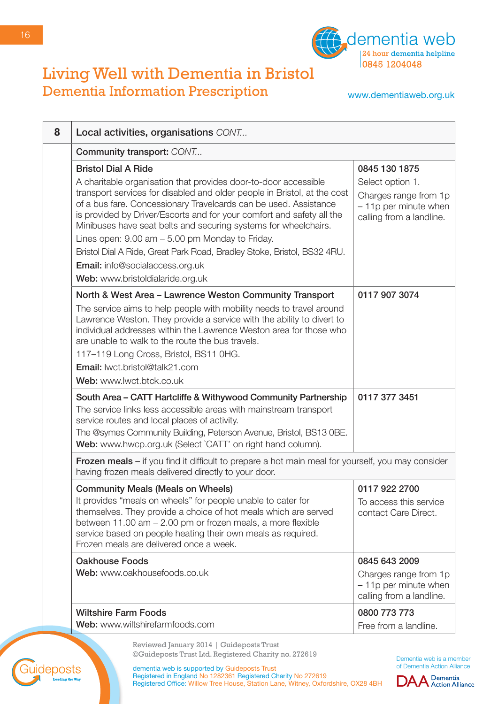

www.dementiaweb.org.uk

| 8 | Local activities, organisations CONT                                                                                                                                                                                                                                                                                                                                                                                                                                                                                                                                                           |                                                                                                                 |
|---|------------------------------------------------------------------------------------------------------------------------------------------------------------------------------------------------------------------------------------------------------------------------------------------------------------------------------------------------------------------------------------------------------------------------------------------------------------------------------------------------------------------------------------------------------------------------------------------------|-----------------------------------------------------------------------------------------------------------------|
|   | Community transport: CONT                                                                                                                                                                                                                                                                                                                                                                                                                                                                                                                                                                      |                                                                                                                 |
|   | <b>Bristol Dial A Ride</b><br>A charitable organisation that provides door-to-door accessible<br>transport services for disabled and older people in Bristol, at the cost<br>of a bus fare. Concessionary Travelcards can be used. Assistance<br>is provided by Driver/Escorts and for your comfort and safety all the<br>Minibuses have seat belts and securing systems for wheelchairs.<br>Lines open: 9.00 am - 5.00 pm Monday to Friday.<br>Bristol Dial A Ride, Great Park Road, Bradley Stoke, Bristol, BS32 4RU.<br>Email: info@socialaccess.org.uk<br>Web: www.bristoldialaride.org.uk | 0845 130 1875<br>Select option 1.<br>Charges range from 1p<br>- 11p per minute when<br>calling from a landline. |
|   | North & West Area - Lawrence Weston Community Transport<br>The service aims to help people with mobility needs to travel around<br>Lawrence Weston. They provide a service with the ability to divert to<br>individual addresses within the Lawrence Weston area for those who<br>are unable to walk to the route the bus travels.<br>117-119 Long Cross, Bristol, BS11 0HG.<br>Email: lwct.bristol@talk21.com<br>Web: www.lwct.btck.co.uk                                                                                                                                                     | 0117 907 3074                                                                                                   |
|   | South Area - CATT Hartcliffe & Withywood Community Partnership<br>The service links less accessible areas with mainstream transport<br>service routes and local places of activity.<br>The @symes Community Building, Peterson Avenue, Bristol, BS13 OBE.<br>Web: www.hwcp.org.uk (Select `CATT' on right hand column).                                                                                                                                                                                                                                                                        | 0117 377 3451                                                                                                   |
|   | <b>Frozen meals</b> – if you find it difficult to prepare a hot main meal for yourself, you may consider<br>having frozen meals delivered directly to your door.                                                                                                                                                                                                                                                                                                                                                                                                                               |                                                                                                                 |
|   | <b>Community Meals (Meals on Wheels)</b><br>It provides "meals on wheels" for people unable to cater for<br>themselves. They provide a choice of hot meals which are served<br>between 11.00 am - 2.00 pm or frozen meals, a more flexible<br>service based on people heating their own meals as required.<br>Frozen meals are delivered once a week.                                                                                                                                                                                                                                          | 0117 922 2700<br>To access this service<br>contact Care Direct.                                                 |
|   | <b>Oakhouse Foods</b><br>Web: www.oakhousefoods.co.uk                                                                                                                                                                                                                                                                                                                                                                                                                                                                                                                                          | 0845 643 2009<br>Charges range from 1p<br>- 11p per minute when<br>calling from a landline.                     |
|   | <b>Wiltshire Farm Foods</b><br>Web: www.wiltshirefarmfoods.com                                                                                                                                                                                                                                                                                                                                                                                                                                                                                                                                 | 0800 773 773<br>Free from a landline.                                                                           |

Reviewed January 2014 | Guideposts Trust ©Guideposts Trust Ltd. Registered Charity no. 272619

Registered in England No 1282361 Registered Charity No 272619

Registered Office: Willow Tree House, Station Lane, Witney, Oxfordshire, OX28 4BH

dementia web is supported by Guideposts Trust

deposts

Dementia web is a member of Dementia Action Alliance

**DAA** Dementia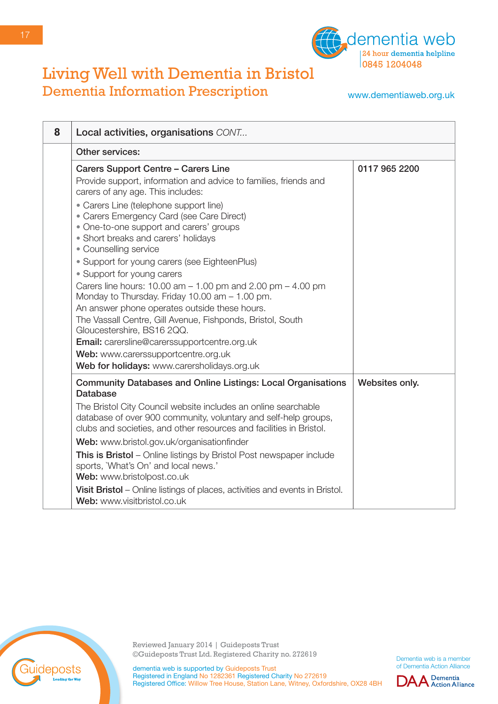

www.dementiaweb.org.uk

| 8 | Local activities, organisations CONT                                                                                                                                                                     |                |
|---|----------------------------------------------------------------------------------------------------------------------------------------------------------------------------------------------------------|----------------|
|   | Other services:                                                                                                                                                                                          |                |
|   | Carers Support Centre - Carers Line<br>Provide support, information and advice to families, friends and<br>carers of any age. This includes:                                                             | 0117 965 2200  |
|   | • Carers Line (telephone support line)<br>• Carers Emergency Card (see Care Direct)<br>• One-to-one support and carers' groups<br>· Short breaks and carers' holidays<br>• Counselling service           |                |
|   | • Support for young carers (see EighteenPlus)<br>• Support for young carers                                                                                                                              |                |
|   | Carers line hours: $10.00$ am $- 1.00$ pm and $2.00$ pm $- 4.00$ pm<br>Monday to Thursday. Friday 10.00 am - 1.00 pm.<br>An answer phone operates outside these hours.                                   |                |
|   | The Vassall Centre, Gill Avenue, Fishponds, Bristol, South<br>Gloucestershire, BS16 2QQ.<br>Email: carersline@carerssupportcentre.org.uk                                                                 |                |
|   | Web: www.carerssupportcentre.org.uk<br>Web for holidays: www.carersholidays.org.uk                                                                                                                       |                |
|   | <b>Community Databases and Online Listings: Local Organisations</b><br><b>Database</b>                                                                                                                   | Websites only. |
|   | The Bristol City Council website includes an online searchable<br>database of over 900 community, voluntary and self-help groups,<br>clubs and societies, and other resources and facilities in Bristol. |                |
|   | Web: www.bristol.gov.uk/organisationfinder                                                                                                                                                               |                |
|   | This is Bristol - Online listings by Bristol Post newspaper include<br>sports, 'What's On' and local news.'<br>Web: www.bristolpost.co.uk                                                                |                |
|   | Visit Bristol – Online listings of places, activities and events in Bristol.<br>Web: www.visitbristol.co.uk                                                                                              |                |



Reviewed January 2014 | Guideposts Trust ©Guideposts Trust Ltd. Registered Charity no. 272619

Dementia web is a member of Dementia Action Alliance

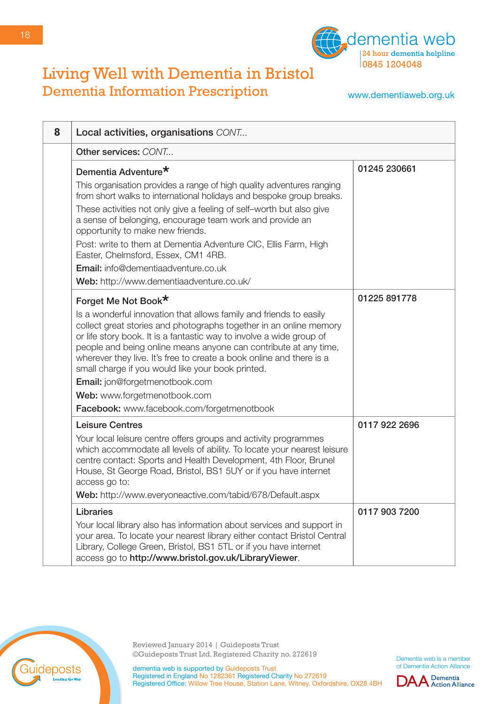

www.dementiaweb.org.uk

| 8 | Local activities, organisations CONT                                                                                                                                                                                                                                                                                                                                                                              |               |
|---|-------------------------------------------------------------------------------------------------------------------------------------------------------------------------------------------------------------------------------------------------------------------------------------------------------------------------------------------------------------------------------------------------------------------|---------------|
|   | Other services: CONT                                                                                                                                                                                                                                                                                                                                                                                              |               |
|   | Dementia Adventure <sup>*</sup>                                                                                                                                                                                                                                                                                                                                                                                   | 01245 230661  |
|   | This organisation provides a range of high quality adventures ranging<br>from short walks to international holidays and bespoke group breaks.                                                                                                                                                                                                                                                                     |               |
|   | These activities not only give a feeling of self-worth but also give<br>a sense of belonging, encourage team work and provide an<br>opportunity to make new friends.                                                                                                                                                                                                                                              |               |
|   | Post: write to them at Dementia Adventure CIC, Ellis Farm, High<br>Easter, Chelmsford, Essex, CM1 4RB.                                                                                                                                                                                                                                                                                                            |               |
|   | <b>Email:</b> info@dementiaadventure.co.uk                                                                                                                                                                                                                                                                                                                                                                        |               |
|   | Web: http://www.dementiaadventure.co.uk/                                                                                                                                                                                                                                                                                                                                                                          |               |
|   | Forget Me Not Book*                                                                                                                                                                                                                                                                                                                                                                                               | 01225 891778  |
|   | Is a wonderful innovation that allows family and friends to easily<br>collect great stories and photographs together in an online memory<br>or life story book. It is a fantastic way to involve a wide group of<br>people and being online means anyone can contribute at any time,<br>wherever they live. It's free to create a book online and there is a<br>small charge if you would like your book printed. |               |
|   | Email: jon@forgetmenotbook.com                                                                                                                                                                                                                                                                                                                                                                                    |               |
|   | Web: www.forgetmenotbook.com                                                                                                                                                                                                                                                                                                                                                                                      |               |
|   | Facebook: www.facebook.com/forgetmenotbook                                                                                                                                                                                                                                                                                                                                                                        |               |
|   | <b>Leisure Centres</b>                                                                                                                                                                                                                                                                                                                                                                                            | 0117 922 2696 |
|   | Your local leisure centre offers groups and activity programmes<br>which accommodate all levels of ability. To locate your nearest leisure<br>centre contact: Sports and Health Development, 4th Floor, Brunel<br>House, St George Road, Bristol, BS1 5UY or if you have internet<br>access go to:                                                                                                                |               |
|   | Web: http://www.everyoneactive.com/tabid/678/Default.aspx                                                                                                                                                                                                                                                                                                                                                         |               |
|   | Libraries<br>Your local library also has information about services and support in<br>your area. To locate your nearest library either contact Bristol Central<br>Library, College Green, Bristol, BS1 5TL or if you have internet<br>access go to http://www.bristol.gov.uk/LibraryViewer.                                                                                                                       | 0117 903 7200 |



18

Reviewed January 2014 | Guideposts Trust ©Guideposts Trust Ltd. Registered Charity no. 272619

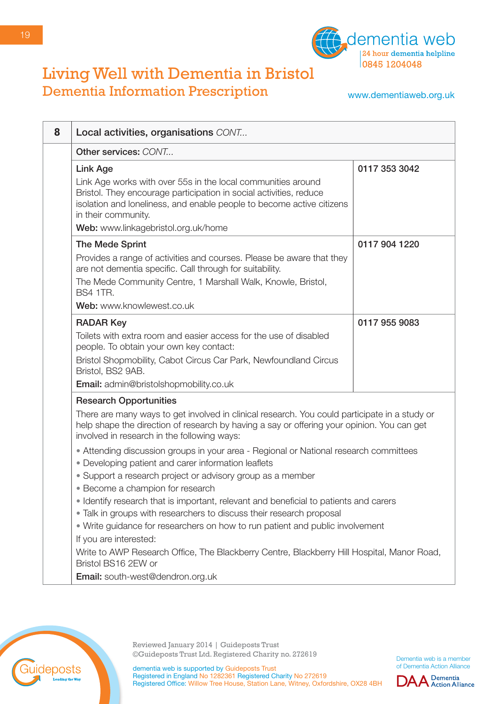

www.dementiaweb.org.uk

| 8 | Local activities, organisations CONT                                                                                                                                                                                                                                                                                                                                                                                                                                                      |               |
|---|-------------------------------------------------------------------------------------------------------------------------------------------------------------------------------------------------------------------------------------------------------------------------------------------------------------------------------------------------------------------------------------------------------------------------------------------------------------------------------------------|---------------|
|   | Other services: CONT                                                                                                                                                                                                                                                                                                                                                                                                                                                                      |               |
|   | <b>Link Age</b><br>Link Age works with over 55s in the local communities around<br>Bristol. They encourage participation in social activities, reduce<br>isolation and loneliness, and enable people to become active citizens<br>in their community.<br>Web: www.linkagebristol.org.uk/home                                                                                                                                                                                              | 0117 353 3042 |
|   | The Mede Sprint<br>Provides a range of activities and courses. Please be aware that they<br>are not dementia specific. Call through for suitability.<br>The Mede Community Centre, 1 Marshall Walk, Knowle, Bristol,<br><b>BS4 1TR.</b><br>Web: www.knowlewest.co.uk                                                                                                                                                                                                                      | 0117 904 1220 |
|   | <b>RADAR Key</b><br>Toilets with extra room and easier access for the use of disabled<br>people. To obtain your own key contact:<br>Bristol Shopmobility, Cabot Circus Car Park, Newfoundland Circus<br>Bristol, BS2 9AB.<br>Email: admin@bristolshopmobility.co.uk                                                                                                                                                                                                                       | 0117 955 9083 |
|   | <b>Research Opportunities</b><br>There are many ways to get involved in clinical research. You could participate in a study or<br>help shape the direction of research by having a say or offering your opinion. You can get<br>involved in research in the following ways:<br>• Attending discussion groups in your area - Regional or National research committees<br>• Developing patient and carer information leaflets<br>• Support a research project or advisory group as a member |               |
|   | · Become a champion for research<br>• Identify research that is important, relevant and beneficial to patients and carers<br>• Talk in groups with researchers to discuss their research proposal<br>• Write guidance for researchers on how to run patient and public involvement<br>If you are interested:<br>Write to AWP Research Office, The Blackberry Centre, Blackberry Hill Hospital, Manor Road,<br>Bristol BS16 2EW or<br>Email: south-west@dendron.org.uk                     |               |



Reviewed January 2014 | Guideposts Trust ©Guideposts Trust Ltd. Registered Charity no. 272619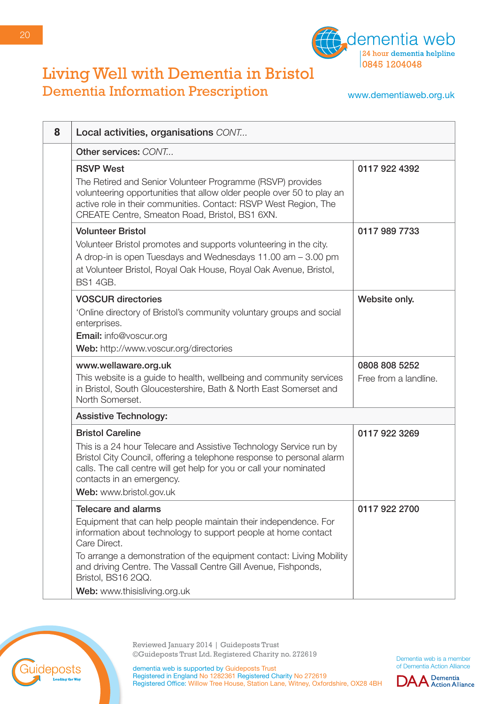

www.dementiaweb.org.uk

| 8 | Local activities, organisations CONT                                                                                                                                                                                                                                                                                                                                            |                                        |
|---|---------------------------------------------------------------------------------------------------------------------------------------------------------------------------------------------------------------------------------------------------------------------------------------------------------------------------------------------------------------------------------|----------------------------------------|
|   | Other services: CONT                                                                                                                                                                                                                                                                                                                                                            |                                        |
|   | <b>RSVP West</b><br>The Retired and Senior Volunteer Programme (RSVP) provides<br>volunteering opportunities that allow older people over 50 to play an<br>active role in their communities. Contact: RSVP West Region, The<br>CREATE Centre, Smeaton Road, Bristol, BS1 6XN.                                                                                                   | 0117 922 4392                          |
|   | <b>Volunteer Bristol</b><br>Volunteer Bristol promotes and supports volunteering in the city.<br>A drop-in is open Tuesdays and Wednesdays 11.00 am - 3.00 pm<br>at Volunteer Bristol, Royal Oak House, Royal Oak Avenue, Bristol,<br><b>BS1 4GB.</b>                                                                                                                           | 0117 989 7733                          |
|   | <b>VOSCUR directories</b><br>'Online directory of Bristol's community voluntary groups and social<br>enterprises.<br>Email: info@voscur.org<br>Web: http://www.voscur.org/directories                                                                                                                                                                                           | Website only.                          |
|   | www.wellaware.org.uk<br>This website is a guide to health, wellbeing and community services<br>in Bristol, South Gloucestershire, Bath & North East Somerset and<br>North Somerset.                                                                                                                                                                                             | 0808 808 5252<br>Free from a landline. |
|   | <b>Assistive Technology:</b>                                                                                                                                                                                                                                                                                                                                                    |                                        |
|   | <b>Bristol Careline</b><br>This is a 24 hour Telecare and Assistive Technology Service run by<br>Bristol City Council, offering a telephone response to personal alarm<br>calls. The call centre will get help for you or call your nominated<br>contacts in an emergency.<br>Web: www.bristol.gov.uk                                                                           | 0117 922 3269                          |
|   | <b>Telecare and alarms</b><br>Equipment that can help people maintain their independence. For<br>information about technology to support people at home contact<br>Care Direct.<br>To arrange a demonstration of the equipment contact: Living Mobility<br>and driving Centre. The Vassall Centre Gill Avenue, Fishponds,<br>Bristol, BS16 2QQ.<br>Web: www.thisisliving.org.uk | 0117 922 2700                          |



Reviewed January 2014 | Guideposts Trust ©Guideposts Trust Ltd. Registered Charity no. 272619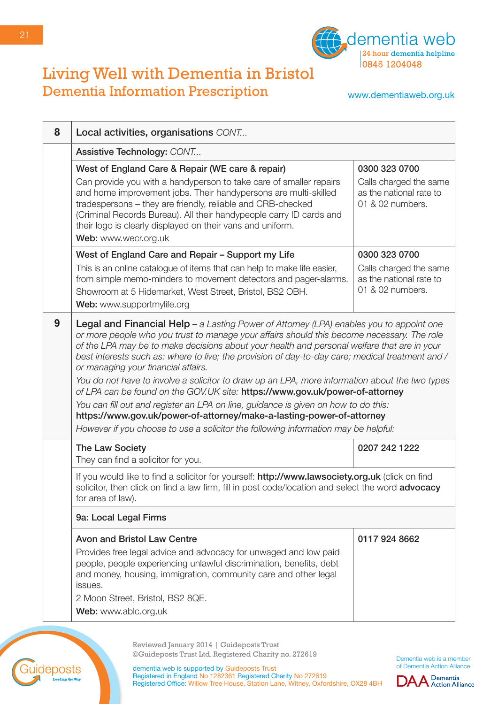

www.dementiaweb.org.uk

| 8 | Local activities, organisations CONT                                                                                                                                                                                                                                                                                                                                                                                                   |                                                                       |
|---|----------------------------------------------------------------------------------------------------------------------------------------------------------------------------------------------------------------------------------------------------------------------------------------------------------------------------------------------------------------------------------------------------------------------------------------|-----------------------------------------------------------------------|
|   | Assistive Technology: CONT                                                                                                                                                                                                                                                                                                                                                                                                             |                                                                       |
|   | West of England Care & Repair (WE care & repair)                                                                                                                                                                                                                                                                                                                                                                                       | 0300 323 0700                                                         |
|   | Can provide you with a handyperson to take care of smaller repairs<br>and home improvement jobs. Their handypersons are multi-skilled<br>tradespersons - they are friendly, reliable and CRB-checked<br>(Criminal Records Bureau). All their handypeople carry ID cards and<br>their logo is clearly displayed on their vans and uniform.<br>Web: www.wecr.org.uk                                                                      | Calls charged the same<br>as the national rate to<br>01 & 02 numbers. |
|   | West of England Care and Repair - Support my Life                                                                                                                                                                                                                                                                                                                                                                                      | 0300 323 0700                                                         |
|   | This is an online catalogue of items that can help to make life easier,<br>from simple memo-minders to movement detectors and pager-alarms.<br>Showroom at 5 Hidemarket, West Street, Bristol, BS2 OBH.<br>Web: www.supportmylife.org                                                                                                                                                                                                  | Calls charged the same<br>as the national rate to<br>01 & 02 numbers. |
| 9 | <b>Legal and Financial Help</b> – a Lasting Power of Attorney (LPA) enables you to appoint one<br>or more people who you trust to manage your affairs should this become necessary. The role<br>of the LPA may be to make decisions about your health and personal welfare that are in your<br>best interests such as: where to live; the provision of day-to-day care; medical treatment and /<br>or managing your financial affairs. |                                                                       |
|   | You do not have to involve a solicitor to draw up an LPA, more information about the two types<br>of LPA can be found on the GOV.UK site: https://www.gov.uk/power-of-attorney                                                                                                                                                                                                                                                         |                                                                       |
|   | You can fill out and register an LPA on line, guidance is given on how to do this:<br>https://www.gov.uk/power-of-attorney/make-a-lasting-power-of-attorney                                                                                                                                                                                                                                                                            |                                                                       |
|   | However if you choose to use a solicitor the following information may be helpful:                                                                                                                                                                                                                                                                                                                                                     |                                                                       |
|   | The Law Society<br>They can find a solicitor for you.                                                                                                                                                                                                                                                                                                                                                                                  | 0207 242 1222                                                         |
|   | If you would like to find a solicitor for yourself: http://www.lawsociety.org.uk (click on find<br>solicitor, then click on find a law firm, fill in post code/location and select the word advocacy<br>for area of law).                                                                                                                                                                                                              |                                                                       |
|   | 9a: Local Legal Firms                                                                                                                                                                                                                                                                                                                                                                                                                  |                                                                       |
|   | <b>Avon and Bristol Law Centre</b>                                                                                                                                                                                                                                                                                                                                                                                                     | 0117 924 8662                                                         |
|   | Provides free legal advice and advocacy for unwaged and low paid<br>people, people experiencing unlawful discrimination, benefits, debt<br>and money, housing, immigration, community care and other legal<br>issues.                                                                                                                                                                                                                  |                                                                       |
|   | 2 Moon Street, Bristol, BS2 8QE.                                                                                                                                                                                                                                                                                                                                                                                                       |                                                                       |
|   | Web: www.ablc.org.uk                                                                                                                                                                                                                                                                                                                                                                                                                   |                                                                       |

Reviewed January 2014 | Guideposts Trust ©Guideposts Trust Ltd. Registered Charity no. 272619

Registered in England No 1282361 Registered Charity No 272619

Registered Office: Willow Tree House, Station Lane, Witney, Oxfordshire, OX28 4BH

dementia web is supported by Guideposts Trust

uideposts

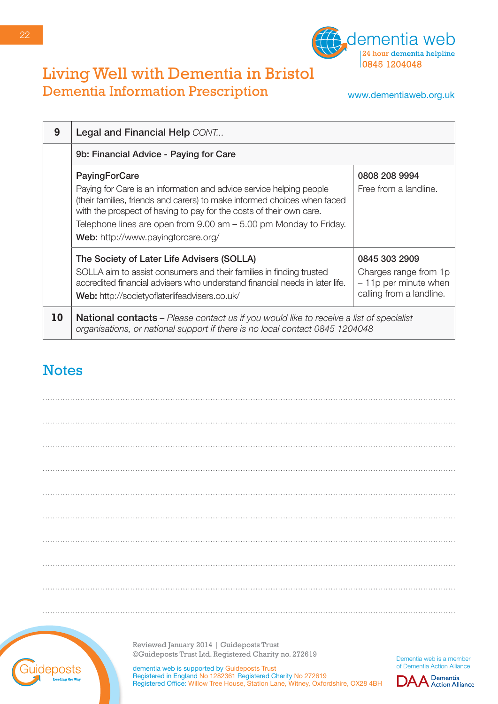

www.dementiaweb.org.uk

| 9  | Legal and Financial Help CONT                                                                                                                                                                                                                                                                                                                                |                                                                                              |
|----|--------------------------------------------------------------------------------------------------------------------------------------------------------------------------------------------------------------------------------------------------------------------------------------------------------------------------------------------------------------|----------------------------------------------------------------------------------------------|
|    | 9b: Financial Advice - Paying for Care                                                                                                                                                                                                                                                                                                                       |                                                                                              |
|    | <b>PayingForCare</b><br>Paying for Care is an information and advice service helping people<br>(their families, friends and carers) to make informed choices when faced<br>with the prospect of having to pay for the costs of their own care.<br>Telephone lines are open from $9.00$ am $-5.00$ pm Monday to Friday.<br>Web: http://www.payingforcare.org/ | 0808 208 9994<br>Free from a landline.                                                       |
|    | The Society of Later Life Advisers (SOLLA)<br>SOLLA aim to assist consumers and their families in finding trusted<br>accredited financial advisers who understand financial needs in later life.<br>Web: http://societyoflaterlifeadvisers.co.uk/                                                                                                            | 0845 303 2909<br>Charges range from 1p<br>$-11p$ per minute when<br>calling from a landline. |
| 10 | <b>National contacts</b> – Please contact us if you would like to receive a list of specialist<br>organisations, or national support if there is no local contact 0845 1204048                                                                                                                                                                               |                                                                                              |

### **Notes**



Reviewed January 2014 | Guideposts Trust ©Guideposts Trust Ltd. Registered Charity no. 272619

dementia web is supported by Guideposts Trust Registered in England No 1282361 Registered Charity No 272619 Registered Office: Willow Tree House, Station Lane, Witney, Oxfordshire, OX28 4BH

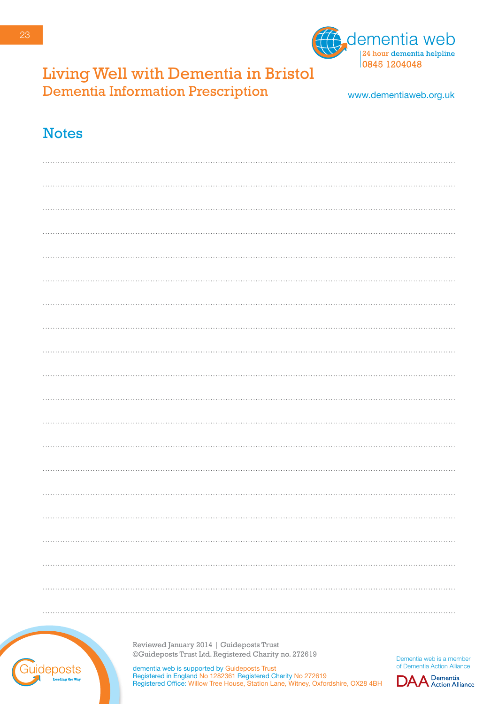



www.dementiaweb.org.uk

#### **Notes**



Reviewed January 2014 | Guideposts Trust ©Guideposts Trust Ltd. Registered Charity no. 272619

dementia web is supported by Guideposts Trust Registered in England No 1282361 Registered Charity No 272619 Registered Office: Willow Tree House, Station Lane, Witney, Oxfordshire, OX28 4BH

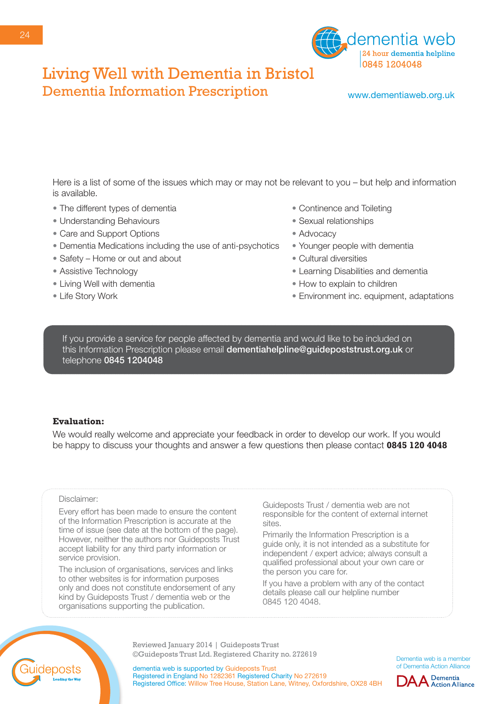

www.dementiaweb.org.uk

Here is a list of some of the issues which may or may not be relevant to you – but help and information is available.

- The different types of dementia
- Understanding Behaviours
- Care and Support Options
- Dementia Medications including the use of anti-psychotics
- Safety Home or out and about
- Assistive Technology
- Living Well with dementia
- Life Story Work
- Continence and Toileting
- Sexual relationships
- Advocacy
- Younger people with dementia
- Cultural diversities
- Learning Disabilities and dementia
- How to explain to children
- Environment inc. equipment, adaptations

If you provide a service for people affected by dementia and would like to be included on this Information Prescription please email **dementiahelpline@guidepoststrust.org.uk** or telephone 0845 1204048

#### **Evaluation:**

We would really welcome and appreciate your feedback in order to develop our work. If you would be happy to discuss your thoughts and answer a few questions then please contact **0845 120 4048**

#### Disclaimer:

Every effort has been made to ensure the content of the Information Prescription is accurate at the time of issue (see date at the bottom of the page). However, neither the authors nor Guideposts Trust accept liability for any third party information or service provision.

The inclusion of organisations, services and links to other websites is for information purposes only and does not constitute endorsement of any kind by Guideposts Trust / dementia web or the organisations supporting the publication.

Guideposts Trust / dementia web are not responsible for the content of external internet sites.

Primarily the Information Prescription is a guide only, it is not intended as a substitute for independent / expert advice; always consult a qualified professional about your own care or the person you care for.

If you have a problem with any of the contact details please call our helpline number 0845 120 4048.

Reviewed January 2014 | Guideposts Trust ©Guideposts Trust Ltd. Registered Charity no. 272619

Dementia web is a member of Dementia Action Alliance



deposts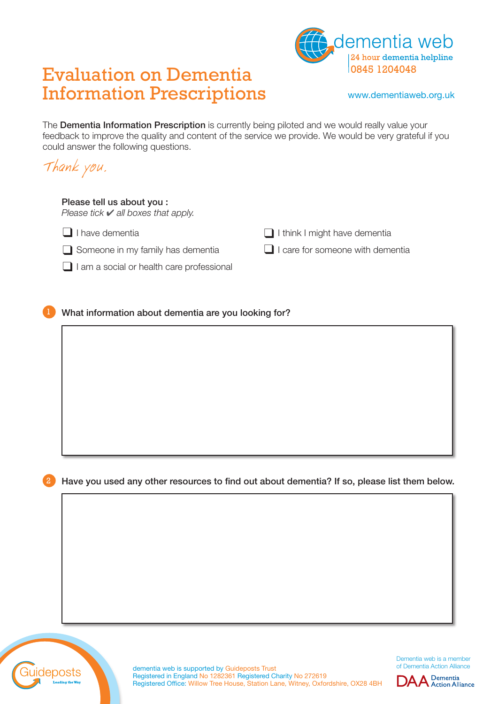# Evaluation on Dementia Information Prescriptions



www.dementiaweb.org.uk

The **Dementia Information Prescription** is currently being piloted and we would really value your feedback to improve the quality and content of the service we provide. We would be very grateful if you could answer the following questions.

Thank you. Please tell us about you : *Please tick* ✔ *all boxes that apply.* ❑ I have dementia ❑ I think I might have dementia ❑ Someone in my family has dementia ❑ I care for someone with dementia □ I am a social or health care professional

What information about dementia are you looking for?

Have you used any other resources to find out about dementia? If so, please list them below.



dementia web is supported by Guideposts Trust Registered in England No 1282361 Registered Charity No 272619 Registered Office: Willow Tree House, Station Lane, Witney, Oxfordshire, OX28 4BH

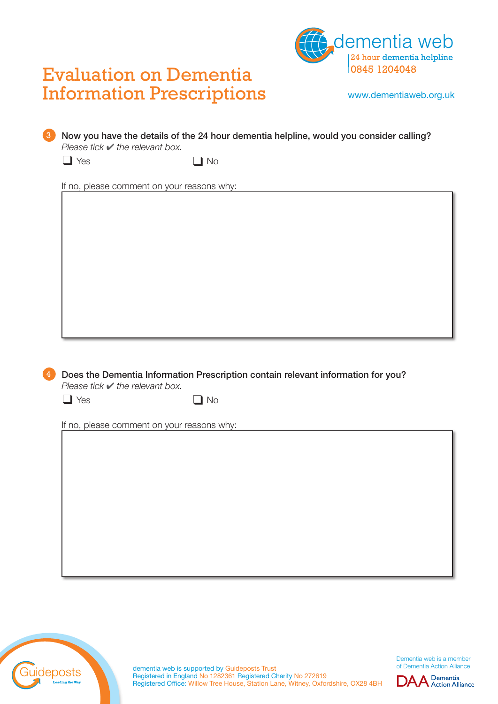



www.dementiaweb.org.uk

| $\Box$ Yes                                                        | No                                         |                                                                                  |  |
|-------------------------------------------------------------------|--------------------------------------------|----------------------------------------------------------------------------------|--|
|                                                                   | If no, please comment on your reasons why: |                                                                                  |  |
|                                                                   |                                            |                                                                                  |  |
|                                                                   |                                            |                                                                                  |  |
|                                                                   |                                            |                                                                                  |  |
|                                                                   |                                            |                                                                                  |  |
|                                                                   |                                            |                                                                                  |  |
|                                                                   |                                            |                                                                                  |  |
|                                                                   |                                            |                                                                                  |  |
|                                                                   |                                            |                                                                                  |  |
|                                                                   |                                            |                                                                                  |  |
|                                                                   |                                            | Does the Dementia Information Prescription contain relevant information for you? |  |
| Please tick $\blacktriangleright$ the relevant box.<br>$\Box$ Yes | $\Box$ No                                  |                                                                                  |  |
|                                                                   | If no, please comment on your reasons why: |                                                                                  |  |
|                                                                   |                                            |                                                                                  |  |
|                                                                   |                                            |                                                                                  |  |
|                                                                   |                                            |                                                                                  |  |
|                                                                   |                                            |                                                                                  |  |
|                                                                   |                                            |                                                                                  |  |
|                                                                   |                                            |                                                                                  |  |
|                                                                   |                                            |                                                                                  |  |



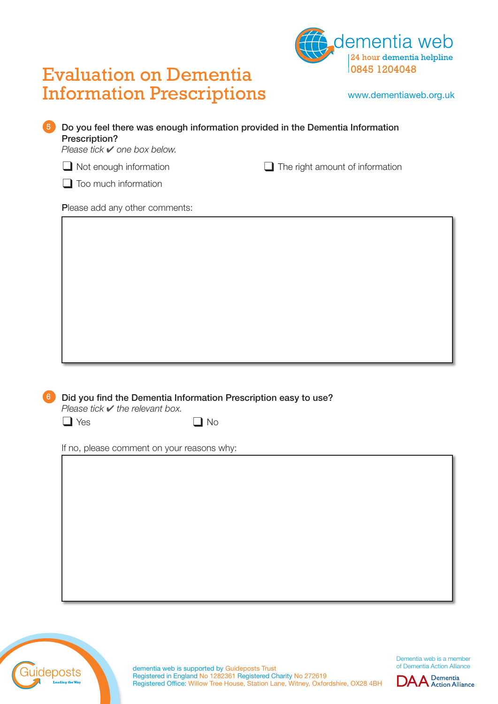



www.dementiaweb.org.uk

#### 5 Do you feel there was enough information provided in the Dementia Information Prescription?

*Please tick* ✔ *one box below.*

❑ Not enough information ❑ The right amount of information

□ Too much information

Please add any other comments:



*Please tick* ✔ *the relevant box.*

 $\Box$  Yes  $\Box$  No

If no, please comment on your reasons why:



dementia web is supported by Guideposts Trust Registered in England No 1282361 Registered Charity No 272619 Registered Office: Willow Tree House, Station Lane, Witney, Oxfordshire, OX28 4BH